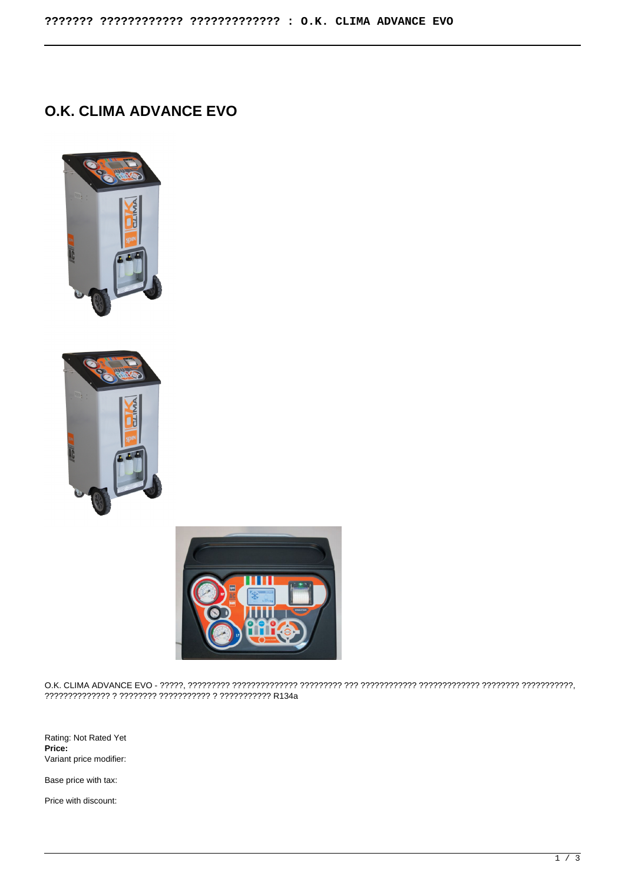## **O.K. CLIMA ADVANCE EVO**







O.K. CLIMA ADVANCE EVO - ?????, ????????? ?????????????? ????????? ??? ???????????? ????????????? ???????? ???????????, ?????????????? ? ???????? ??????????? ? ??????????? R134a

Rating: Not Rated Yet **Price:**  Variant price modifier:

Base price with tax:

Price with discount: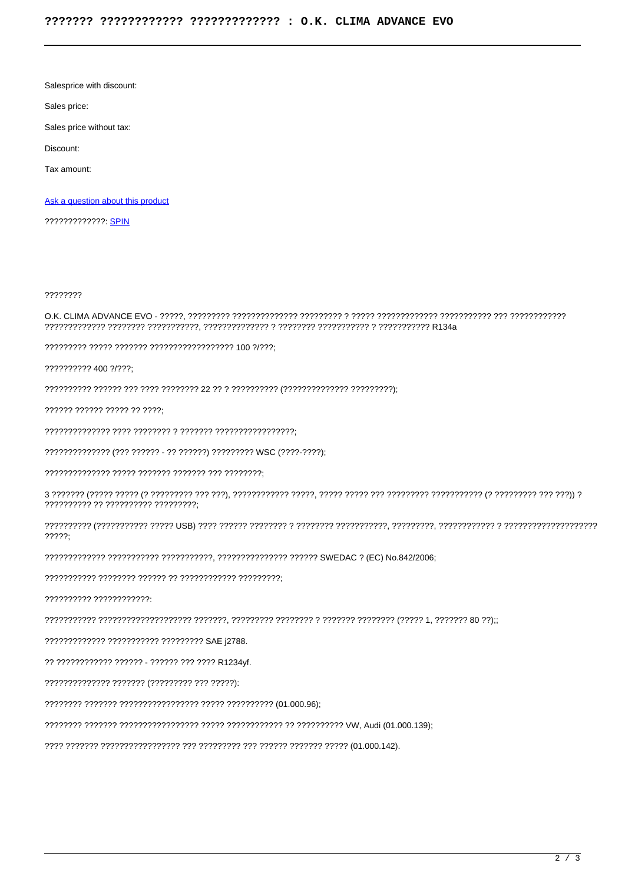Salesprice with discount:

Sales price:

Sales price without tax:

Discount:

Tax amount:

Ask a question about this product

????????????? SPIN

????????

## 

?????????? 400 ?/???:

?????? ?????? ????? ?? ????:

?????????????? (??? ?????? - ?? ??????) ????????? WSC (????-????);

?????????? ?? ?????????? ?????????;

 $7777?$ 

?????????? ????????????

????????????? ??????????? ????????? SAE i2788.